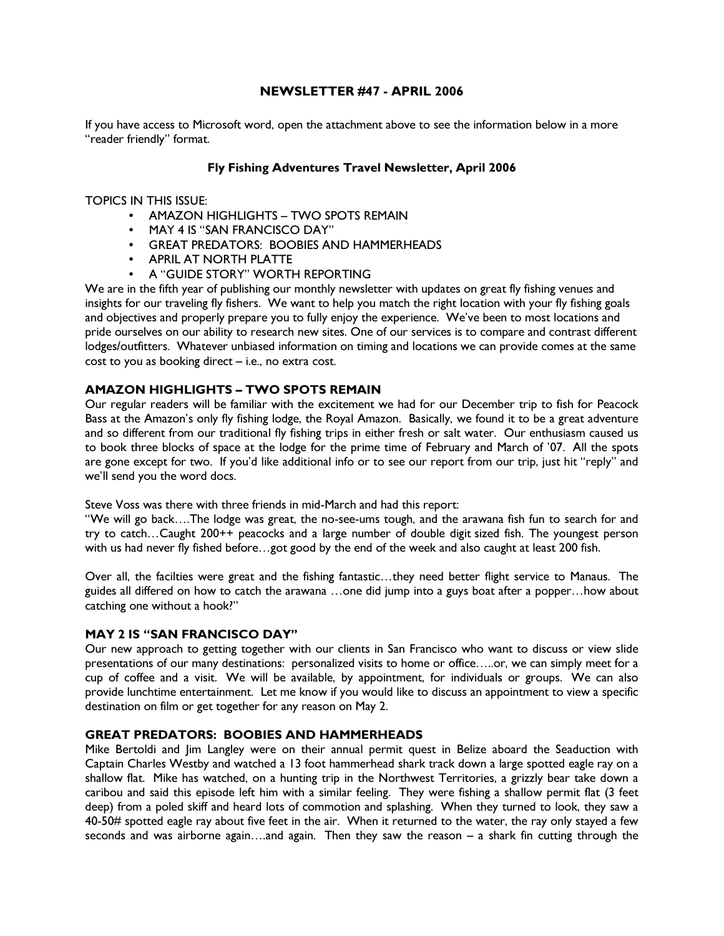## NEWSLETTER #47 - APRIL 2006

If you have access to Microsoft word, open the attachment above to see the information below in a more "reader friendly" format.

#### Fly Fishing Adventures Travel Newsletter, April 2006

TOPICS IN THIS ISSUE:

- AMAZON HIGHLIGHTS TWO SPOTS REMAIN
- MAY 4 IS "SAN FRANCISCO DAY"
- GREAT PREDATORS: BOOBIES AND HAMMERHEADS
- APRIL AT NORTH PLATTE
- A "GUIDE STORY" WORTH REPORTING

We are in the fifth year of publishing our monthly newsletter with updates on great fly fishing venues and insights for our traveling fly fishers. We want to help you match the right location with your fly fishing goals and objectives and properly prepare you to fully enjoy the experience. We've been to most locations and pride ourselves on our ability to research new sites. One of our services is to compare and contrast different lodges/outfitters. Whatever unbiased information on timing and locations we can provide comes at the same cost to you as booking direct – i.e., no extra cost.

## AMAZON HIGHLIGHTS – TWO SPOTS REMAIN

Our regular readers will be familiar with the excitement we had for our December trip to fish for Peacock Bass at the Amazon's only fly fishing lodge, the Royal Amazon. Basically, we found it to be a great adventure and so different from our traditional fly fishing trips in either fresh or salt water. Our enthusiasm caused us to book three blocks of space at the lodge for the prime time of February and March of '07. All the spots are gone except for two. If you'd like additional info or to see our report from our trip, just hit "reply" and we'll send you the word docs.

Steve Voss was there with three friends in mid-March and had this report:

"We will go back….The lodge was great, the no-see-ums tough, and the arawana fish fun to search for and try to catch…Caught 200++ peacocks and a large number of double digit sized fish. The youngest person with us had never fly fished before…got good by the end of the week and also caught at least 200 fish.

Over all, the facilties were great and the fishing fantastic…they need better flight service to Manaus. The guides all differed on how to catch the arawana …one did jump into a guys boat after a popper…how about catching one without a hook?"

#### MAY 2 IS "SAN FRANCISCO DAY"

Our new approach to getting together with our clients in San Francisco who want to discuss or view slide presentations of our many destinations: personalized visits to home or office…..or, we can simply meet for a cup of coffee and a visit. We will be available, by appointment, for individuals or groups. We can also provide lunchtime entertainment. Let me know if you would like to discuss an appointment to view a specific destination on film or get together for any reason on May 2.

### GREAT PREDATORS: BOOBIES AND HAMMERHEADS

Mike Bertoldi and Jim Langley were on their annual permit quest in Belize aboard the Seaduction with Captain Charles Westby and watched a 13 foot hammerhead shark track down a large spotted eagle ray on a shallow flat. Mike has watched, on a hunting trip in the Northwest Territories, a grizzly bear take down a caribou and said this episode left him with a similar feeling. They were fishing a shallow permit flat (3 feet deep) from a poled skiff and heard lots of commotion and splashing. When they turned to look, they saw a 40-50# spotted eagle ray about five feet in the air. When it returned to the water, the ray only stayed a few seconds and was airborne again….and again. Then they saw the reason – a shark fin cutting through the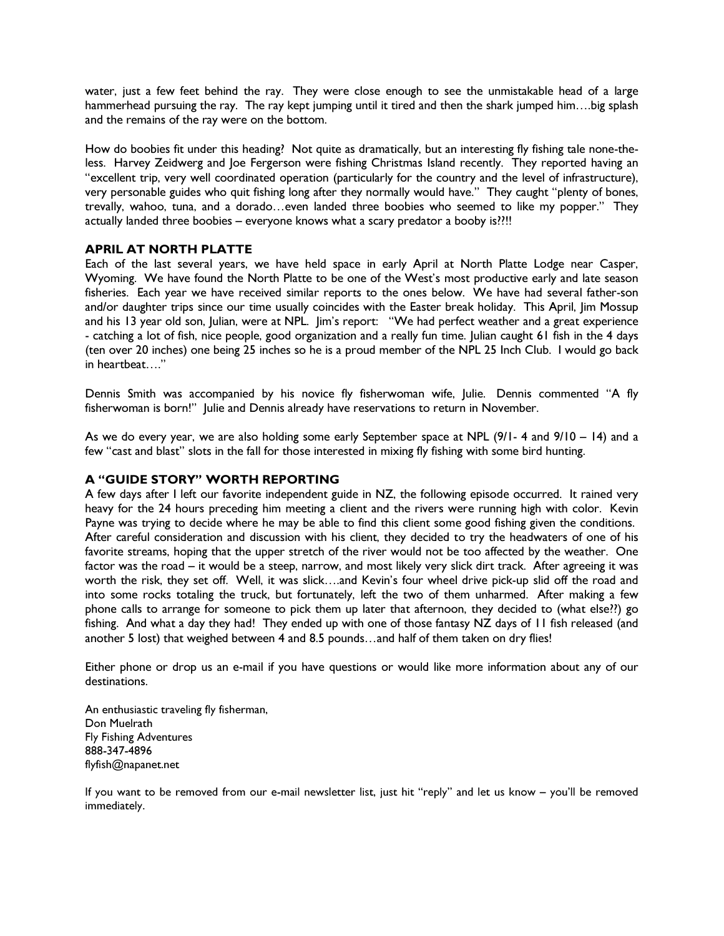water, just a few feet behind the ray. They were close enough to see the unmistakable head of a large hammerhead pursuing the ray. The ray kept jumping until it tired and then the shark jumped him....big splash and the remains of the ray were on the bottom.

How do boobies fit under this heading? Not quite as dramatically, but an interesting fly fishing tale none-theless. Harvey Zeidwerg and Joe Fergerson were fishing Christmas Island recently. They reported having an "excellent trip, very well coordinated operation (particularly for the country and the level of infrastructure), very personable guides who quit fishing long after they normally would have." They caught "plenty of bones, trevally, wahoo, tuna, and a dorado…even landed three boobies who seemed to like my popper." They actually landed three boobies – everyone knows what a scary predator a booby is??!!

# APRIL AT NORTH PLATTE

Each of the last several years, we have held space in early April at North Platte Lodge near Casper, Wyoming. We have found the North Platte to be one of the West's most productive early and late season fisheries. Each year we have received similar reports to the ones below. We have had several father-son and/or daughter trips since our time usually coincides with the Easter break holiday. This April, Jim Mossup and his 13 year old son, Julian, were at NPL. Jim's report: "We had perfect weather and a great experience - catching a lot of fish, nice people, good organization and a really fun time. Julian caught 61 fish in the 4 days (ten over 20 inches) one being 25 inches so he is a proud member of the NPL 25 Inch Club. I would go back in heartbeat…."

Dennis Smith was accompanied by his novice fly fisherwoman wife, Julie. Dennis commented "A fly fisherwoman is born!" Julie and Dennis already have reservations to return in November.

As we do every year, we are also holding some early September space at NPL (9/1- 4 and 9/10 – 14) and a few "cast and blast" slots in the fall for those interested in mixing fly fishing with some bird hunting.

# A "GUIDE STORY" WORTH REPORTING

A few days after I left our favorite independent guide in NZ, the following episode occurred. It rained very heavy for the 24 hours preceding him meeting a client and the rivers were running high with color. Kevin Payne was trying to decide where he may be able to find this client some good fishing given the conditions. After careful consideration and discussion with his client, they decided to try the headwaters of one of his favorite streams, hoping that the upper stretch of the river would not be too affected by the weather. One factor was the road – it would be a steep, narrow, and most likely very slick dirt track. After agreeing it was worth the risk, they set off. Well, it was slick….and Kevin's four wheel drive pick-up slid off the road and into some rocks totaling the truck, but fortunately, left the two of them unharmed. After making a few phone calls to arrange for someone to pick them up later that afternoon, they decided to (what else??) go fishing. And what a day they had! They ended up with one of those fantasy NZ days of 11 fish released (and another 5 lost) that weighed between 4 and 8.5 pounds…and half of them taken on dry flies!

Either phone or drop us an e-mail if you have questions or would like more information about any of our destinations.

An enthusiastic traveling fly fisherman, Don Muelrath Fly Fishing Adventures 888-347-4896 flyfish@napanet.net

If you want to be removed from our e-mail newsletter list, just hit "reply" and let us know – you'll be removed immediately.